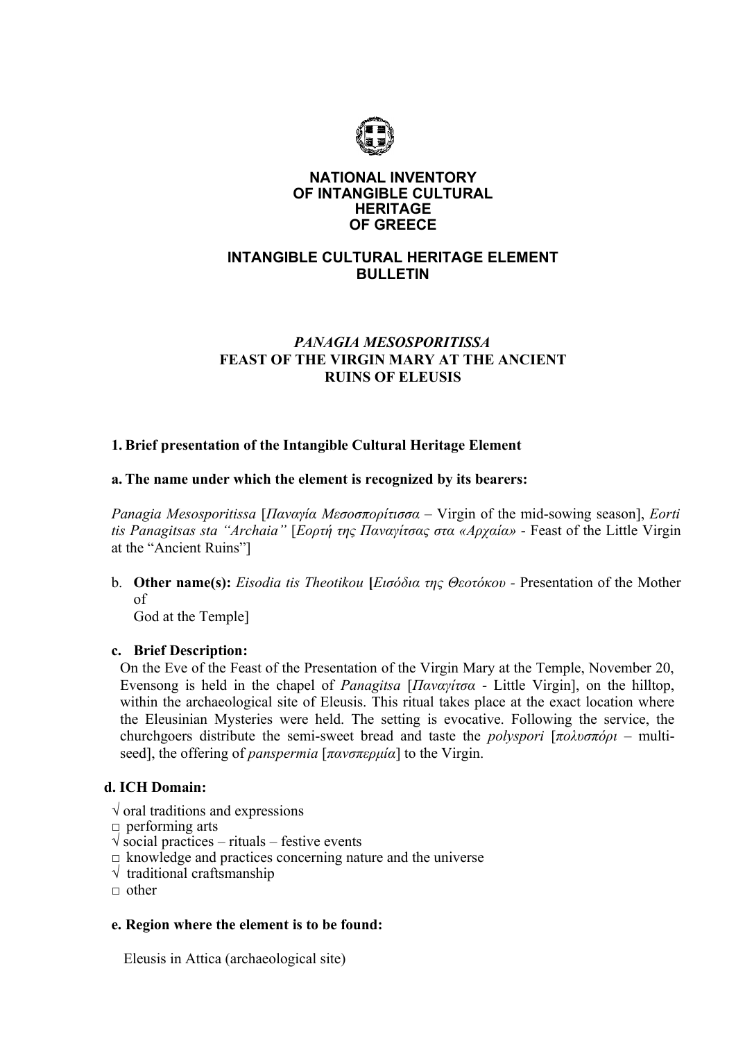

### **NATIONAL INVENTORY OF INTANGIBLE CULTURAL HERITAGE OF GREECE**

# **INTANGIBLE CULTURAL HERITAGE ELEMENT BULLETIN**

# *PANAGIA MESOSPORITISSA* **FEAST OF THE VIRGIN MARY AT THE ANCIENT RUINS OF ELEUSIS**

## **1. Brief presentation of the Intangible Cultural Heritage Element**

### **a. The name under which the element is recognized by its bearers:**

*Panagia Mesosporitissa* [*Παναγία Μεσοσπορίτισσα* – Virgin of the mid-sowing season], *Eorti tis Panagitsas sta "Archaia"* [*Εορτή της Παναγίτσας στα «Αρχαία»* - Feast of the Little Virgin at the "Ancient Ruins"]

b. **Other name(s):** *Eisodia tis Theotikou* **[***Εισόδια της Θεοτόκου -* Presentation of the Mother of

God at the Temple]

### **c. Brief Description:**

On the Eve of the Feast of the Presentation of the Virgin Mary at the Temple, November 20, Evensong is held in the chapel of *Panagitsa* [*Παναγίτσα* - Little Virgin], on the hilltop, within the archaeological site of Eleusis. This ritual takes place at the exact location where the Eleusinian Mysteries were held. The setting is evocative. Following the service, the churchgoers distribute the semi-sweet bread and taste the *polyspori* [*πολυσπόρι –* multiseed], the offering of *panspermia* [*πανσπερμία*] to the Virgin.

# **d. ICH Domain:**

- $\sqrt{\ }$  oral traditions and expressions
- $\Box$  performing arts
- $\sqrt{\ }$  social practices rituals festive events
- $\square$  knowledge and practices concerning nature and the universe
- $\sqrt{\frac{1}{1}}$  traditional craftsmanship
- $\Box$  other

### **e. Region where the element is to be found:**

Eleusis in Attica (archaeological site)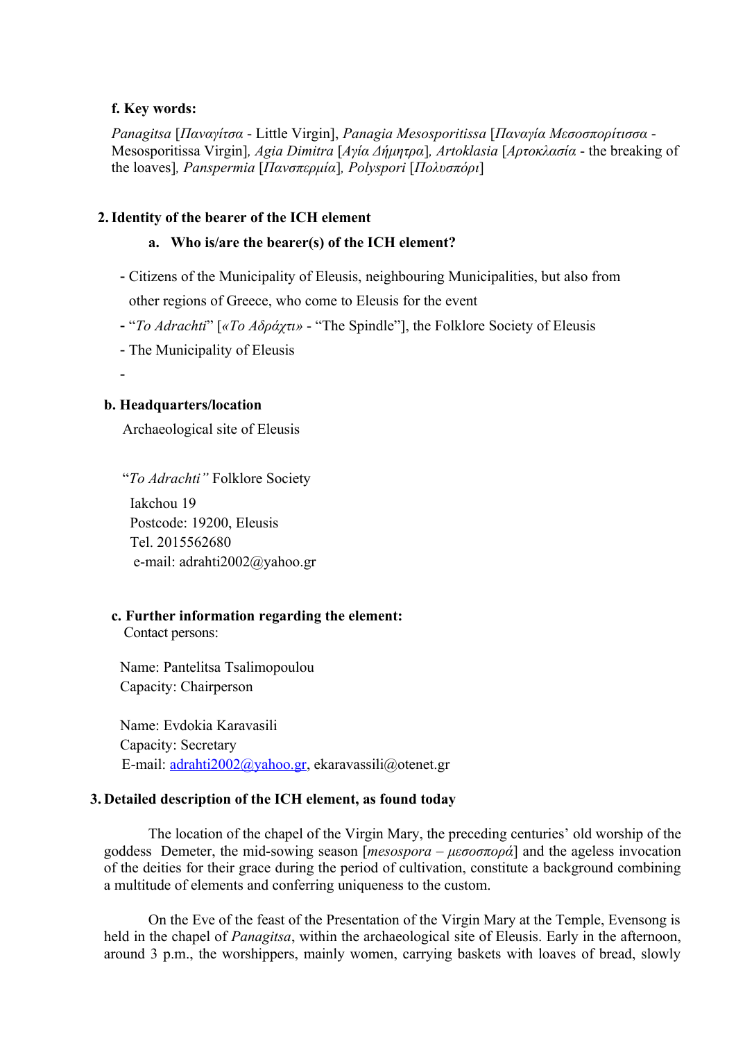#### **f. Key words:**

*Panagitsa* [*Παναγίτσα* - Little Virgin], *Panagia Mesosporitissa* [*Παναγία Μεσοσπορίτισσα* - Mesosporitissa Virgin]*, Agia Dimitra* [*Αγία Δήμητρα*]*, Artoklasia* [*Αρτοκλασία* - the breaking of the loaves]*, Panspermia* [*Πανσπερμία*]*, Polyspori* [*Πολυσπόρι*]

#### **2.Identity of the bearer of the ICH element**

#### **a. Who is/are the bearer(s) of the ICH element?**

- Citizens of the Municipality of Eleusis, neighbouring Municipalities, but also from other regions of Greece, who come to Eleusis for the event
- "*To Adrachti*" [*«Το Αδράχτι»* "The Spindle"], the Folklore Society of Eleusis
- The Municipality of Eleusis

-

### **b. Headquarters/location**

Archaeological site of Eleusis

 "*To Adrachti"* Folklore Society Iakchou 19 Postcode: 19200, Eleusis Τel. 2015562680 e-mail: [adrahti2002@yahoo.gr](mailto:adrahti2002@yahoo.gr)

# **c. Further information regarding the element:**

Contact persons:

Name: Pantelitsa Tsalimopoulou Capacity: Chairperson

Name: Evdokia Karavasili Capacity: Secretary Ε-mail: [adrahti2002@yahoo.gr,](mailto:adrahti2002@yahoo.gr) [ekaravassili@otenet.gr](mailto:ekaravassili@otenet.gr)

#### **3. Detailed description of the ICH element, as found today**

The location of the chapel of the Virgin Mary, the preceding centuries' old worship of the goddess Demeter, the mid-sowing season [*mesospora – μεσοσπορά*] and the ageless invocation of the deities for their grace during the period of cultivation, constitute a background combining a multitude of elements and conferring uniqueness to the custom.

On the Eve of the feast of the Presentation of the Virgin Mary at the Temple, Evensong is held in the chapel of *Panagitsa*, within the archaeological site of Eleusis. Early in the afternoon, around 3 p.m., the worshippers, mainly women, carrying baskets with loaves of bread, slowly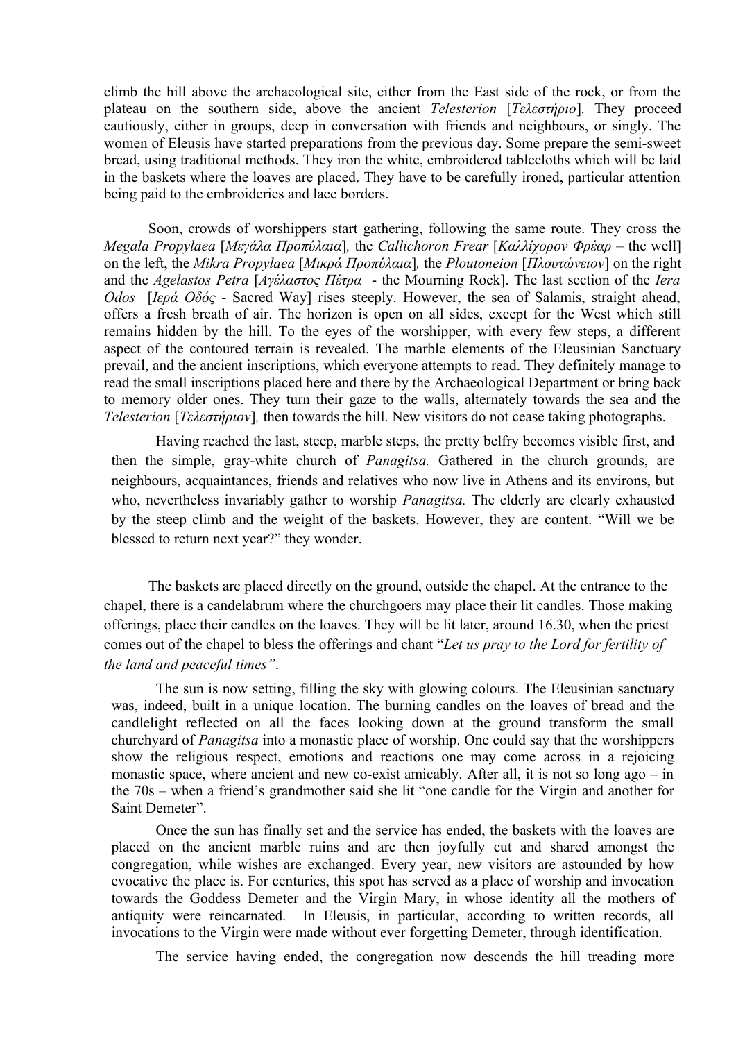climb the hill above the archaeological site, either from the East side of the rock, or from the plateau on the southern side, above the ancient *Telesterion* [*Τελεστήριο*]*.* They proceed cautiously, either in groups, deep in conversation with friends and neighbours, or singly. The women of Eleusis have started preparations from the previous day. Some prepare the semi-sweet bread, using traditional methods. They iron the white, embroidered tablecloths which will be laid in the baskets where the loaves are placed. They have to be carefully ironed, particular attention being paid to the embroideries and lace borders.

Soon, crowds of worshippers start gathering, following the same route. They cross the *Megala Propylaea* [*Μεγάλα Προπύλαια*]*,* the *Callichoron Frear* [*Καλλίχορον Φρέαρ* – the well] on the left, the *Mikra Propylaea* [*Μικρά Προπύλαια*]*,* the *Ploutoneion* [*Πλουτώνειον*] on the right and the *Agelastos Petra* [*Αγέλαστος Πέτρα* - the Mourning Rock]. The last section of the *Iera Odos* [*Ιερά Οδός* - Sacred Way] rises steeply. However, the sea of Salamis, straight ahead, offers a fresh breath of air. The horizon is open on all sides, except for the West which still remains hidden by the hill. To the eyes of the worshipper, with every few steps, a different aspect of the contoured terrain is revealed. The marble elements of the Eleusinian Sanctuary prevail, and the ancient inscriptions, which everyone attempts to read. They definitely manage to read the small inscriptions placed here and there by the Archaeological Department or bring back to memory older ones. They turn their gaze to the walls, alternately towards the sea and the *Telesterion* [*Τελεστήριον*]*,* then towards the hill. New visitors do not cease taking photographs.

Having reached the last, steep, marble steps, the pretty belfry becomes visible first, and then the simple, gray-white church of *Panagitsa.* Gathered in the church grounds, are neighbours, acquaintances, friends and relatives who now live in Athens and its environs, but who, nevertheless invariably gather to worship *Panagitsa.* The elderly are clearly exhausted by the steep climb and the weight of the baskets. However, they are content. "Will we be blessed to return next year?" they wonder.

The baskets are placed directly on the ground, outside the chapel. At the entrance to the chapel, there is a candelabrum where the churchgoers may place their lit candles. Those making offerings, place their candles on the loaves. They will be lit later, around 16.30, when the priest comes out of the chapel to bless the offerings and chant "*Let us pray to the Lord for fertility of the land and peaceful times"*.

The sun is now setting, filling the sky with glowing colours. The Eleusinian sanctuary was, indeed, built in a unique location. The burning candles on the loaves of bread and the candlelight reflected on all the faces looking down at the ground transform the small churchyard of *Panagitsa* into a monastic place of worship. One could say that the worshippers show the religious respect, emotions and reactions one may come across in a rejoicing monastic space, where ancient and new co-exist amicably. After all, it is not so long ago – in the 70s – when a friend's grandmother said she lit "one candle for the Virgin and another for Saint Demeter".

Once the sun has finally set and the service has ended, the baskets with the loaves are placed on the ancient marble ruins and are then joyfully cut and shared amongst the congregation, while wishes are exchanged. Every year, new visitors are astounded by how evocative the place is. For centuries, this spot has served as a place of worship and invocation towards the Goddess Demeter and the Virgin Mary, in whose identity all the mothers of antiquity were reincarnated. In Eleusis, in particular, according to written records, all invocations to the Virgin were made without ever forgetting Demeter, through identification.

The service having ended, the congregation now descends the hill treading more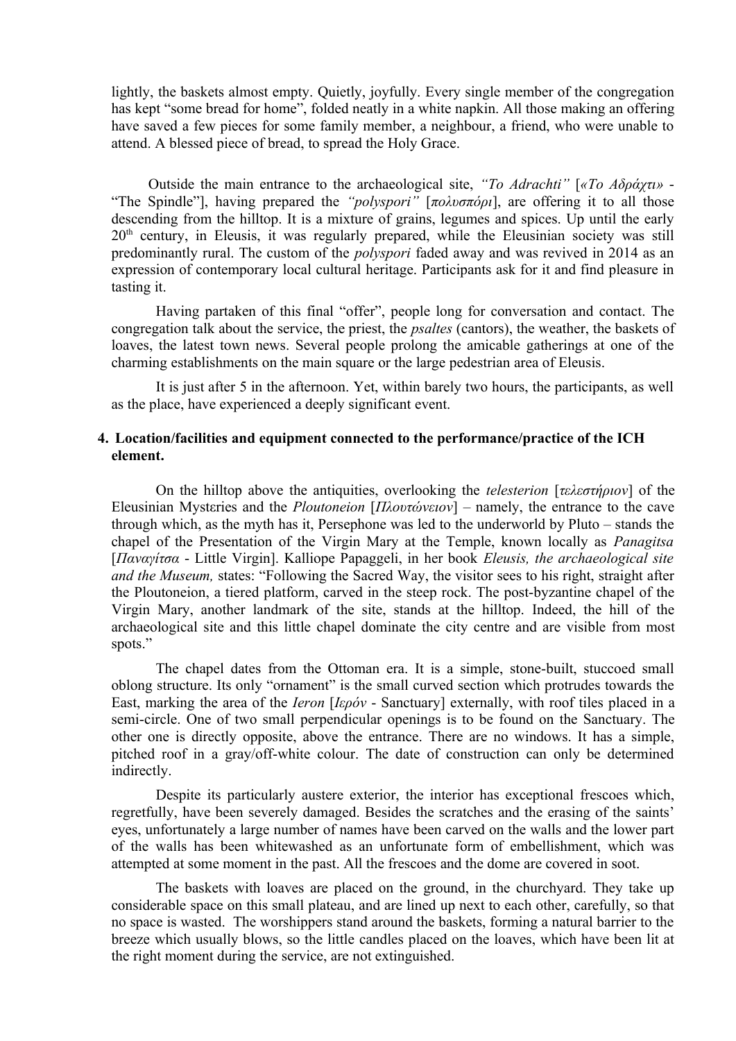lightly, the baskets almost empty. Quietly, joyfully. Every single member of the congregation has kept "some bread for home", folded neatly in a white napkin. All those making an offering have saved a few pieces for some family member, a neighbour, a friend, who were unable to attend. A blessed piece of bread, to spread the Holy Grace.

Outside the main entrance to the archaeological site, *"To Adrachti"* [*«Το Αδράχτι»* - "The Spindle"], having prepared the *"polyspori"* [*πολυσπόρι*], are offering it to all those descending from the hilltop. It is a mixture of grains, legumes and spices. Up until the early 20<sup>th</sup> century, in Eleusis, it was regularly prepared, while the Eleusinian society was still predominantly rural. The custom of the *polyspori* faded away and was revived in 2014 as an expression of contemporary local cultural heritage. Participants ask for it and find pleasure in tasting it.

Having partaken of this final "offer", people long for conversation and contact. The congregation talk about the service, the priest, the *psaltes* (cantors), the weather, the baskets of loaves, the latest town news. Several people prolong the amicable gatherings at one of the charming establishments on the main square or the large pedestrian area of Eleusis.

It is just after 5 in the afternoon. Yet, within barely two hours, the participants, as well as the place, have experienced a deeply significant event.

### **4. Location/facilities and equipment connected to the performance/practice of the ICH element.**

On the hilltop above the antiquities, overlooking the *telesterion* [*τελεστήριον*] of the Eleusinian Mystεries and the *Ploutoneion* [*Πλουτώνειον*] – namely, the entrance to the cave through which, as the myth has it, Persephone was led to the underworld by Pluto – stands the chapel of the Presentation of the Virgin Mary at the Temple, known locally as *Panagitsa* [*Παναγίτσα* - Little Virgin]. Kalliope Papaggeli, in her book *Eleusis, the archaeological site and the Museum,* states: "Following the Sacred Way, the visitor sees to his right, straight after the Ploutoneion, a tiered platform, carved in the steep rock. The post-byzantine chapel of the Virgin Mary, another landmark of the site, stands at the hilltop. Indeed, the hill of the archaeological site and this little chapel dominate the city centre and are visible from most spots."

The chapel dates from the Ottoman era. It is a simple, stone-built, stuccoed small oblong structure. Its only "ornament" is the small curved section which protrudes towards the East, marking the area of the *Ieron* [*Ιερόν* - Sanctuary] externally, with roof tiles placed in a semi-circle. One of two small perpendicular openings is to be found on the Sanctuary. The other one is directly opposite, above the entrance. There are no windows. It has a simple, pitched roof in a gray/off-white colour. The date of construction can only be determined indirectly.

Despite its particularly austere exterior, the interior has exceptional frescoes which, regretfully, have been severely damaged. Besides the scratches and the erasing of the saints' eyes, unfortunately a large number of names have been carved on the walls and the lower part of the walls has been whitewashed as an unfortunate form of embellishment, which was attempted at some moment in the past. All the frescoes and the dome are covered in soot.

The baskets with loaves are placed on the ground, in the churchyard. They take up considerable space on this small plateau, and are lined up next to each other, carefully, so that no space is wasted. The worshippers stand around the baskets, forming a natural barrier to the breeze which usually blows, so the little candles placed on the loaves, which have been lit at the right moment during the service, are not extinguished.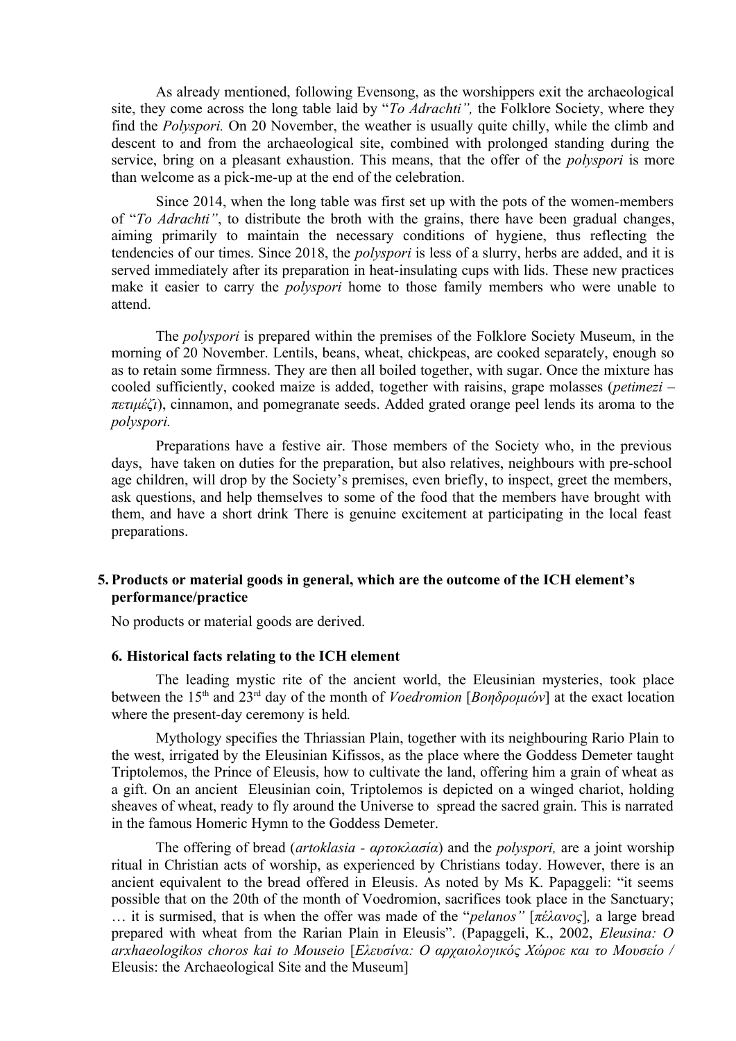As already mentioned, following Evensong, as the worshippers exit the archaeological site, they come across the long table laid by "*To Adrachti",* the Folklore Society, where they find the *Polyspori.* On 20 November, the weather is usually quite chilly, while the climb and descent to and from the archaeological site, combined with prolonged standing during the service, bring on a pleasant exhaustion. This means, that the offer of the *polyspori* is more than welcome as a pick-me-up at the end of the celebration.

Since 2014, when the long table was first set up with the pots of the women-members of "*To Adrachti"*, to distribute the broth with the grains, there have been gradual changes, aiming primarily to maintain the necessary conditions of hygiene, thus reflecting the tendencies of our times. Since 2018, the *polyspori* is less of a slurry, herbs are added, and it is served immediately after its preparation in heat-insulating cups with lids. These new practices make it easier to carry the *polyspori* home to those family members who were unable to attend.

The *polyspori* is prepared within the premises of the Folklore Society Museum, in the morning of 20 November. Lentils, beans, wheat, chickpeas, are cooked separately, enough so as to retain some firmness. They are then all boiled together, with sugar. Once the mixture has cooled sufficiently, cooked maize is added, together with raisins, grape molasses (*petimezi – πετιμέζι*), cinnamon, and pomegranate seeds. Added grated orange peel lends its aroma to the *polyspori.*

Preparations have a festive air. Those members of the Society who, in the previous days, have taken on duties for the preparation, but also relatives, neighbours with pre-school age children, will drop by the Society's premises, even briefly, to inspect, greet the members, ask questions, and help themselves to some of the food that the members have brought with them, and have a short drink There is genuine excitement at participating in the local feast preparations.

### **5. Products or material goods in general, which are the outcome of the ICH element's performance/practice**

No products or material goods are derived.

#### **6. Historical facts relating to the ICH element**

The leading mystic rite of the ancient world, the Eleusinian mysteries, took place between the 15th and 23rd day of the month of *Voedromion* [*Βοηδρομιών*] at the exact location where the present-day ceremony is held*.*

Mythology specifies the Thriassian Plain, together with its neighbouring Rario Plain to the west, irrigated by the Eleusinian Kifissos, as the place where the Goddess Demeter taught Triptolemos, the Prince of Eleusis, how to cultivate the land, offering him a grain of wheat as a gift. On an ancient Eleusinian coin, Triptolemos is depicted on a winged chariot, holding sheaves of wheat, ready to fly around the Universe to spread the sacred grain. This is narrated in the famous Homeric Hymn to the Goddess Demeter.

The offering of bread (*artoklasia - αρτοκλασία*) and the *polyspori,* are a joint worship ritual in Christian acts of worship, as experienced by Christians today. However, there is an ancient equivalent to the bread offered in Eleusis. As noted by Ms K. Papaggeli: "it seems possible that on the 20th of the month of Voedromion, sacrifices took place in the Sanctuary; … it is surmised, that is when the offer was made of the "*pelanos"* [*πέλανος*]*,* a large bread prepared with wheat from the Rarian Plain in Eleusis". (Papaggeli, K., 2002, *Eleusina: O arxhaeologikos choros kai to Mouseio* [*Ελευσίνα: Ο αρχαιολογικός Χώροε και το Μουσείο /* Eleusis: the Archaeological Site and the Museum]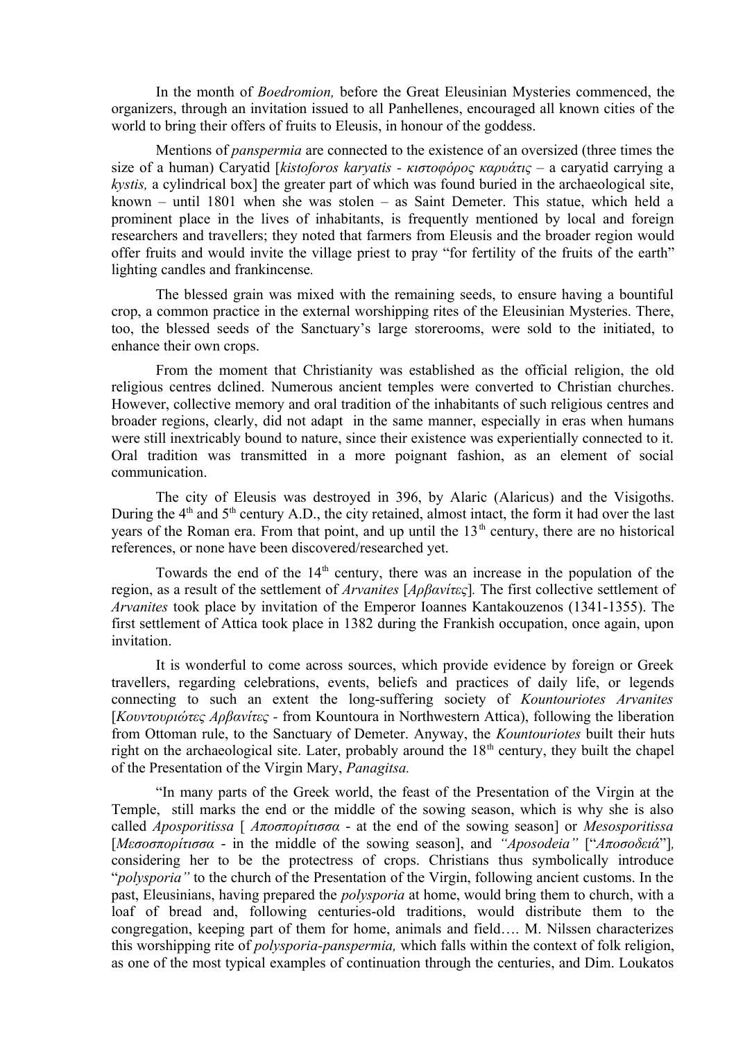In the month of *Boedromion,* before the Great Eleusinian Mysteries commenced, the organizers, through an invitation issued to all Panhellenes, encouraged all known cities of the world to bring their offers of fruits to Eleusis, in honour of the goddess.

Mentions of *panspermia* are connected to the existence of an oversized (three times the size of a human) Caryatid [*kistoforos karyatis - κιστοφόρος καρυάτις –* a caryatid carrying a *kystis,* a cylindrical box] the greater part of which was found buried in the archaeological site, known – until 1801 when she was stolen – as Saint Demeter. This statue, which held a prominent place in the lives of inhabitants, is frequently mentioned by local and foreign researchers and travellers; they noted that farmers from Eleusis and the broader region would offer fruits and would invite the village priest to pray "for fertility of the fruits of the earth" lighting candles and frankincense*.* 

The blessed grain was mixed with the remaining seeds, to ensure having a bountiful crop, a common practice in the external worshipping rites of the Eleusinian Mysteries. There, too, the blessed seeds of the Sanctuary's large storerooms, were sold to the initiated, to enhance their own crops.

From the moment that Christianity was established as the official religion, the old religious centres dclined. Numerous ancient temples were converted to Christian churches. However, collective memory and oral tradition of the inhabitants of such religious centres and broader regions, clearly, did not adapt in the same manner, especially in eras when humans were still inextricably bound to nature, since their existence was experientially connected to it. Oral tradition was transmitted in a more poignant fashion, as an element of social communication.

The city of Eleusis was destroyed in 396, by Alaric (Alaricus) and the Visigoths. During the  $4<sup>th</sup>$  and  $5<sup>th</sup>$  century A.D., the city retained, almost intact, the form it had over the last years of the Roman era. From that point, and up until the  $13<sup>th</sup>$  century, there are no historical references, or none have been discovered/researched yet.

Towards the end of the  $14<sup>th</sup>$  century, there was an increase in the population of the region, as a result of the settlement of *Arvanites* [*Αρβανίτες*]*.* The first collective settlement of *Arvanites* took place by invitation of the Emperor Ioannes Kantakouzenos (1341-1355). The first settlement of Attica took place in 1382 during the Frankish occupation, once again, upon invitation.

It is wonderful to come across sources, which provide evidence by foreign or Greek travellers, regarding celebrations, events, beliefs and practices of daily life, or legends connecting to such an extent the long-suffering society of *Kountouriotes Arvanites* [*Κουντουριώτες Αρβανίτες -* from Kountoura in Northwestern Attica), following the liberation from Ottoman rule, to the Sanctuary of Demeter. Anyway, the *Kountouriotes* built their huts right on the archaeological site. Later, probably around the  $18<sup>th</sup>$  century, they built the chapel of the Presentation of the Virgin Mary, *Panagitsa.*

"In many parts of the Greek world, the feast of the Presentation of the Virgin at the Temple, still marks the end or the middle of the sowing season, which is why she is also called *Aposporitissa* [ *Αποσπορίτισσα* - at the end of the sowing season] or *Mesosporitissa* [*Μεσοσπορίτισσα* - in the middle of the sowing season], and *"Aposodeia"* ["*Αποσοδειά*"]*,* considering her to be the protectress of crops. Christians thus symbolically introduce "*polysporia"* to the church of the Presentation of the Virgin, following ancient customs. In the past, Eleusinians, having prepared the *polysporia* at home, would bring them to church, with a loaf of bread and, following centuries-old traditions, would distribute them to the congregation, keeping part of them for home, animals and field…. M. Nilssen characterizes this worshipping rite of *polysporia-panspermia,* which falls within the context of folk religion, as one of the most typical examples of continuation through the centuries, and Dim. Loukatos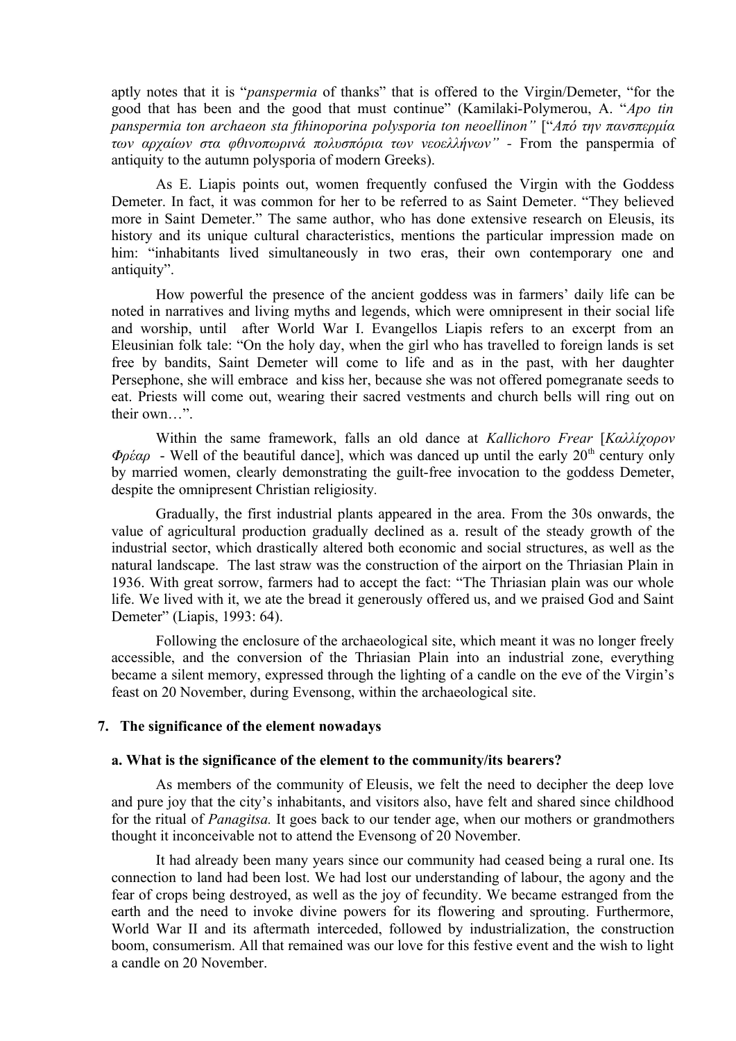aptly notes that it is "*panspermia* of thanks" that is offered to the Virgin/Demeter, "for the good that has been and the good that must continue" (Kamilaki-Polymerou, A. "*Apo tin panspermia ton archaeon sta fthinoporina polysporia ton neoellinon"* ["*Από την πανσπερμία των αρχαίων στα φθινοπωρινά πολυσπόρια των νεοελλήνων" -* From the panspermia of antiquity to the autumn polysporia of modern Greeks).

As E. Liapis points out, women frequently confused the Virgin with the Goddess Demeter. In fact, it was common for her to be referred to as Saint Demeter. "They believed more in Saint Demeter." The same author, who has done extensive research on Eleusis, its history and its unique cultural characteristics, mentions the particular impression made on him: "inhabitants lived simultaneously in two eras, their own contemporary one and antiquity".

How powerful the presence of the ancient goddess was in farmers' daily life can be noted in narratives and living myths and legends, which were omnipresent in their social life and worship, until after World War I. Evangellos Liapis refers to an excerpt from an Eleusinian folk tale: "On the holy day, when the girl who has travelled to foreign lands is set free by bandits, Saint Demeter will come to life and as in the past, with her daughter Persephone, she will embrace and kiss her, because she was not offered pomegranate seeds to eat. Priests will come out, wearing their sacred vestments and church bells will ring out on their own…".

Within the same framework, falls an old dance at *Kallichoro Frear* [*Καλλίχορον*  $\Phi \rho \dot{\epsilon} \alpha \rho$  - Well of the beautiful dance], which was danced up until the early 20<sup>th</sup> century only by married women, clearly demonstrating the guilt-free invocation to the goddess Demeter, despite the omnipresent Christian religiosity*.*

Gradually, the first industrial plants appeared in the area. From the 30s onwards, the value of agricultural production gradually declined as a. result of the steady growth of the industrial sector, which drastically altered both economic and social structures, as well as the natural landscape. The last straw was the construction of the airport on the Thriasian Plain in 1936. With great sorrow, farmers had to accept the fact: "The Thriasian plain was our whole life. We lived with it, we ate the bread it generously offered us, and we praised God and Saint Demeter" (Liapis, 1993: 64).

Following the enclosure of the archaeological site, which meant it was no longer freely accessible, and the conversion of the Thriasian Plain into an industrial zone, everything became a silent memory, expressed through the lighting of a candle on the eve of the Virgin's feast on 20 November, during Evensong, within the archaeological site.

#### **7. The significance of the element nowadays**

#### **a. What is the significance of the element to the community/its bearers?**

As members of the community of Eleusis, we felt the need to decipher the deep love and pure joy that the city's inhabitants, and visitors also, have felt and shared since childhood for the ritual of *Panagitsa.* It goes back to our tender age, when our mothers or grandmothers thought it inconceivable not to attend the Evensong of 20 November.

It had already been many years since our community had ceased being a rural one. Its connection to land had been lost. We had lost our understanding of labour, the agony and the fear of crops being destroyed, as well as the joy of fecundity. We became estranged from the earth and the need to invoke divine powers for its flowering and sprouting. Furthermore, World War II and its aftermath interceded, followed by industrialization, the construction boom, consumerism. All that remained was our love for this festive event and the wish to light a candle on 20 November.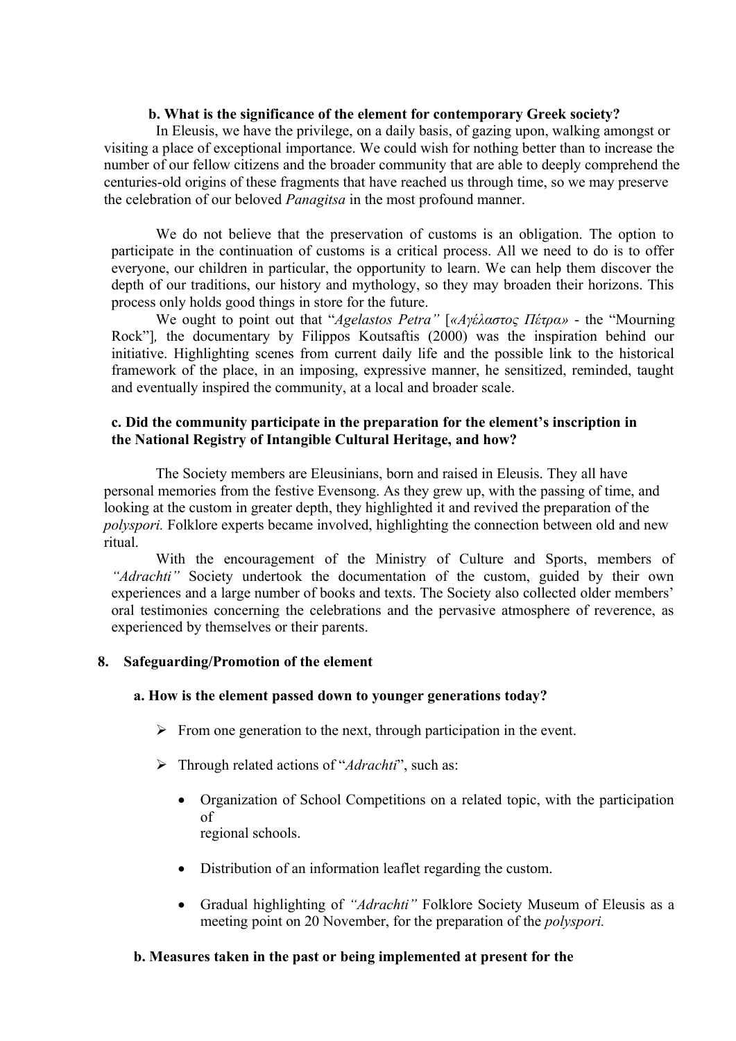#### **b. What is the significance of the element for contemporary Greek society?**

In Eleusis, we have the privilege, on a daily basis, of gazing upon, walking amongst or visiting a place of exceptional importance. We could wish for nothing better than to increase the number of our fellow citizens and the broader community that are able to deeply comprehend the centuries-old origins of these fragments that have reached us through time, so we may preserve the celebration of our beloved *Panagitsa* in the most profound manner.

We do not believe that the preservation of customs is an obligation. The option to participate in the continuation of customs is a critical process. All we need to do is to offer everyone, our children in particular, the opportunity to learn. We can help them discover the depth of our traditions, our history and mythology, so they may broaden their horizons. This process only holds good things in store for the future.

We ought to point out that "*Agelastos Petra"* [*«Αγέλαστος Πέτρα»* - the "Mourning Rock"]*,* the documentary by Filippos Koutsaftis (2000) was the inspiration behind our initiative. Highlighting scenes from current daily life and the possible link to the historical framework of the place, in an imposing, expressive manner, he sensitized, reminded, taught and eventually inspired the community, at a local and broader scale.

### **c. Did the community participate in the preparation for the element's inscription in the National Registry of Intangible Cultural Heritage, and how?**

The Society members are Eleusinians, born and raised in Eleusis. They all have personal memories from the festive Evensong. As they grew up, with the passing of time, and looking at the custom in greater depth, they highlighted it and revived the preparation of the *polyspori.* Folklore experts became involved, highlighting the connection between old and new ritual.

With the encouragement of the Ministry of Culture and Sports, members of *"Adrachti"* Society undertook the documentation of the custom, guided by their own experiences and a large number of books and texts. The Society also collected older members' oral testimonies concerning the celebrations and the pervasive atmosphere of reverence, as experienced by themselves or their parents.

### **8. Safeguarding/Promotion of the element**

### **a. How is the element passed down to younger generations today?**

- $\triangleright$  From one generation to the next, through participation in the event.
- Through related actions of "*Adrachti*", such as:
	- Organization of School Competitions on a related topic, with the participation of regional schools.
	- Distribution of an information leaflet regarding the custom.
	- Gradual highlighting of *"Adrachti"* Folklore Society Museum of Eleusis as a meeting point on 20 November, for the preparation of the *polyspori.*

#### **b. Measures taken in the past or being implemented at present for the**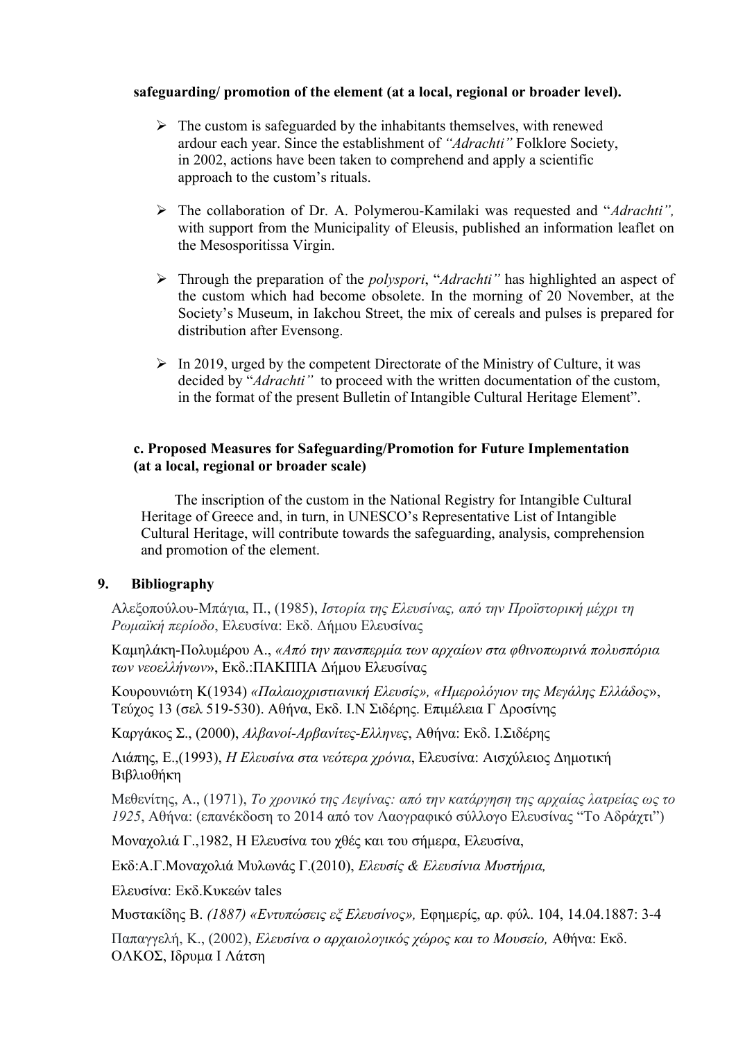## **safeguarding/ promotion of the element (at a local, regional or broader level).**

- $\triangleright$  The custom is safeguarded by the inhabitants themselves, with renewed ardour each year. Since the establishment of *"Adrachti"* Folklore Society, in 2002, actions have been taken to comprehend and apply a scientific approach to the custom's rituals.
- The collaboration of Dr. A. Polymerou-Kamilaki was requested and "*Adrachti",* with support from the Municipality of Eleusis, published an information leaflet on the Mesosporitissa Virgin.
- Through the preparation of the *polyspori*, "*Adrachti"* has highlighted an aspect of the custom which had become obsolete. In the morning of 20 November, at the Society's Museum, in Iakchou Street, the mix of cereals and pulses is prepared for distribution after Evensong.
- $\triangleright$  In 2019, urged by the competent Directorate of the Ministry of Culture, it was decided by "*Adrachti"* to proceed with the written documentation of the custom, in the format of the present Bulletin of Intangible Cultural Heritage Element".

## **c. Proposed Measures for Safeguarding/Promotion for Future Implementation (at a local, regional or broader scale)**

 The inscription of the custom in the National Registry for Intangible Cultural Heritage of Greece and, in turn, in UNESCO's Representative List of Intangible Cultural Heritage, will contribute towards the safeguarding, analysis, comprehension and promotion of the element.

### **9. Bibliography**

Αλεξοπούλου-Μπάγια, Π., (1985), *Ιστορία της Ελευσίνας, από την Προϊστορική μέχρι τη Ρωμαϊκή περίοδο*, Ελευσίνα: Εκδ. Δήμου Ελευσίνας

Καμηλάκη-Πολυμέρου Α., *«Από την πανσπερμία των αρχαίων στα φθινοπωρινά πολυσπόρια των νεοελλήνων*», Εκδ.:ΠΑΚΠΠΑ Δήμου Ελευσίνας

Κουρουνιώτη Κ(1934) *«Παλαιοχριστιανική Ελευσίς», «Ημερολόγιον της Μεγάλης Ελλάδος*», Τεύχος 13 (σελ 519-530). Αθήνα, Εκδ. Ι.Ν Σιδέρης. Επιμέλεια Γ Δροσίνης

Kαργάκος Σ., (2000), *Αλβανοί-Αρβανίτες-Ελληνες*, Αθήνα: Εκδ. Ι.Σιδέρης

Λιάπης, Ε.,(1993), *Η Ελευσίνα στα νεότερα χρόνια*, Ελευσίνα: Αισχύλειος Δημοτική Βιβλιοθήκη

Μεθενίτης, Α., (1971), *Το χρονικό της Λεψίνας: από την κατάργηση της αρχαίας λατρείας ως το 1925*, Αθήνα: (επανέκδοση το 2014 από τον Λαογραφικό σύλλογο Ελευσίνας "Το Αδράχτι")

Μοναχολιά Γ.,1982, Η Ελευσίνα του χθές και του σήμερα, Eλευσίνα,

Εκδ:Α.Γ.Μοναχολιά Μυλωνάς Γ.(2010), *Ελευσίς & Ελευσίνια Μυστήρια,* 

Ελευσίνα: Eκδ.Κυκεών tales

Μυστακίδης Β. *(1887) «Εντυπώσεις εξ Ελευσίνος»,* Εφημερίς, αρ. φύλ. 104, 14.04.1887: 3-4

Παπαγγελή, Κ., (2002), *Ελευσίνα ο αρχαιολογικός χώρος και το Μουσείο,* Αθήνα: Εκδ. ΟΛΚΟΣ, Ιδρυμα Ι Λάτση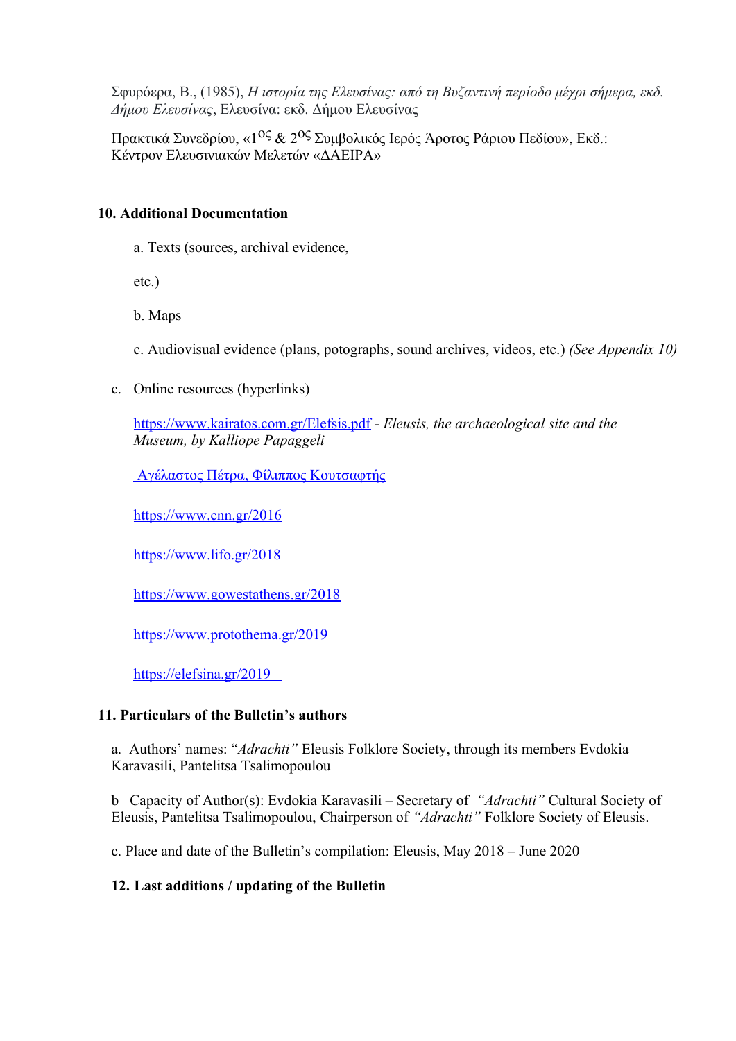Σφυρόερα, Β., (1985), *Η ιστορία της Ελευσίνας: από τη Βυζαντινή περίοδο μέχρι σήμερα, εκδ. Δήμου Ελευσίνας*, Ελευσίνα: εκδ. Δήμου Ελευσίνας

Πρακτικά Συνεδρίου, «1<sup>0ς</sup> & 2<sup>0ς</sup> Συμβολικός Ιερός Άροτος Ράριου Πεδίου», Εκδ.: Κέντρον Ελευσινιακών Μελετών «ΔΑΕΙΡΑ»

# **10. Additional Documentation**

a. Texts (sources, archival evidence,

etc.)

b. Maps

c. Audiovisual evidence (plans, potographs, sound archives, videos, etc.) *(See Appendix 10)*

c. Online resources (hyperlinks)

<https://www.kairatos.com.gr/Elefsis.pdf> - *Eleusis, the archaeological site and the Museum, by Kalliope Papaggeli*

 [Aγέλαστος Πέτρα, Φίλιππος Κουτσαφτής](http://www.gfc.gr/el/%CF%84%CE%B1%CE%B9%CE%BD%CE%AF%CE%B5%CF%82/%CF%84%CE%B1%CE%B9%CE%BD%CE%AF%CE%B5%CF%82-%CE%B1%CE%BB%CF%86%CE%B1%CE%B2%CE%B7%CF%84%CE%B9%CE%BA%CE%AC/movie/alphabeticaly/%CE%B1%CE%B3%CE%B5%CE%BB%CE%B1%CF%83%CF%84%CE%BF%CF%83-%CF%80%CE%B5%CF%84%CF%81%CE%B1.html)

[https://www.cnn.gr/2016](https://www.cnn.gr/focus/story/55383/h-giorti-sto-lofo-ton-arxaiotiton-tis-eleysinas-me-rizes-apo-tin-arxaia-ellada)

[https://www.lifo.gr/2018](https://www.lifo.gr/articles/archaeology_articles/216280/paramoni-eisodion-stin-eleysina-ekei-poy-i-paganistiki-paradosi-synanta-ti-xristianiki)

[https://www.gowestathens.gr/2018](https://www.gowestathens.gr/%C3%8E%C2%B3%C3%8E%C2%B9%C3%8E%C2%BF%C3%8F%C2%81%C3%8F%E2%80%9E%C3%8E%C2%AC%C3%8E%C2%B6%C3%8E%C2%B5%C3%8E%C2%B9-%C3%8E%C2%B7-%C3%8F%E2%82%AC%C3%8E%C2%B1%C3%8E%C2%BD%C3%8E%C2%B1%C3%8E%C2%B3%C3%8E%C2%AF%C3%8E%C2%B1%C3%8F%E2%80%9A-%C3%8F%E2%80%9E%C3%8E%C2%B7%C3%8F%E2%80%9A-%C3%8E%C2%BC%C3%8E%C2%B5%C3%8F%C6%92%C3%8E%C2%BF%C3%8F%C6%92%C3%8F%E2%82%AC%C3%8E%C2%BF%C3%8F%C2%81%C3%8E%C2%AF%C3%8F%E2%80%9E%C3%8E%C2%B9/)

[https://www.protothema.gr/2019](https://www.protothema.gr/greece/article/948044/i-panarhaia-mustiriaki-teletourgia-apo-ti-thea-dimitra-stin-panagia-imoun-ki-ego-hthes-stin-eleusina/)

 [https://elefsina.gr/2019](https://elefsina.gr/el/content/%C3%8E%C2%BF%C3%8E%C2%B9-%C3%8E%C2%B5%C3%8E%C2%BB%C3%8E%C2%B5%C3%8F%E2%80%A6%C3%8F%C6%92%C3%8E%C2%B9%C3%8E%C2%BD%C3%8E%C2%B9%C3%8E%C2%BF%C3%8E%C2%B9-%C3%8F%E2%80%9E%C3%8E%C2%B9%C3%8E%C2%BC%C3%8E%C2%B7%C3%8F%C6%92%C3%8E%C2%B1%C3%8E%C2%BD-%C3%8F%E2%80%9E%C3%8E%C2%BF-%C3%8E%C2%B5%C3%8E%C2%B8%C3%8E%C2%B9%C3%8E%C2%BC%C3%8E%C2%BF-%C3%8F%E2%80%9E%C3%8E%C2%B7%C3%8F%C6%92-%C3%8E%C2%BC%C3%8E%C2%B5%C3%8F%C6%92%C3%8E%C2%BF%C3%8F%C6%92%C3%8F%E2%82%AC%C3%8E%C2%BF%C3%8F%C2%81%C3%8E%C2%B9%C3%8F%E2%80%9E%C3%8E%C2%B9%C3%8F%C6%92%C3%8F%C6%92%C3%8E%C2%B1%C3%8F%C6%92)

# **11. Particulars of the Bulletin's authors**

a. Authors' names: "*Adrachti"* Eleusis Folklore Society, through its members Evdokia Karavasili, Pantelitsa Tsalimopoulou

b Capacity of Author(s): Evdokia Karavasili – Secretary of *"Adrachti"* Cultural Society of Eleusis, Pantelitsa Tsalimopoulou, Chairperson of *"Adrachti"* Folklore Society of Eleusis.

c. Place and date of the Bulletin's compilation: Eleusis, May 2018 – June 2020

# **12. Last additions / updating of the Bulletin**